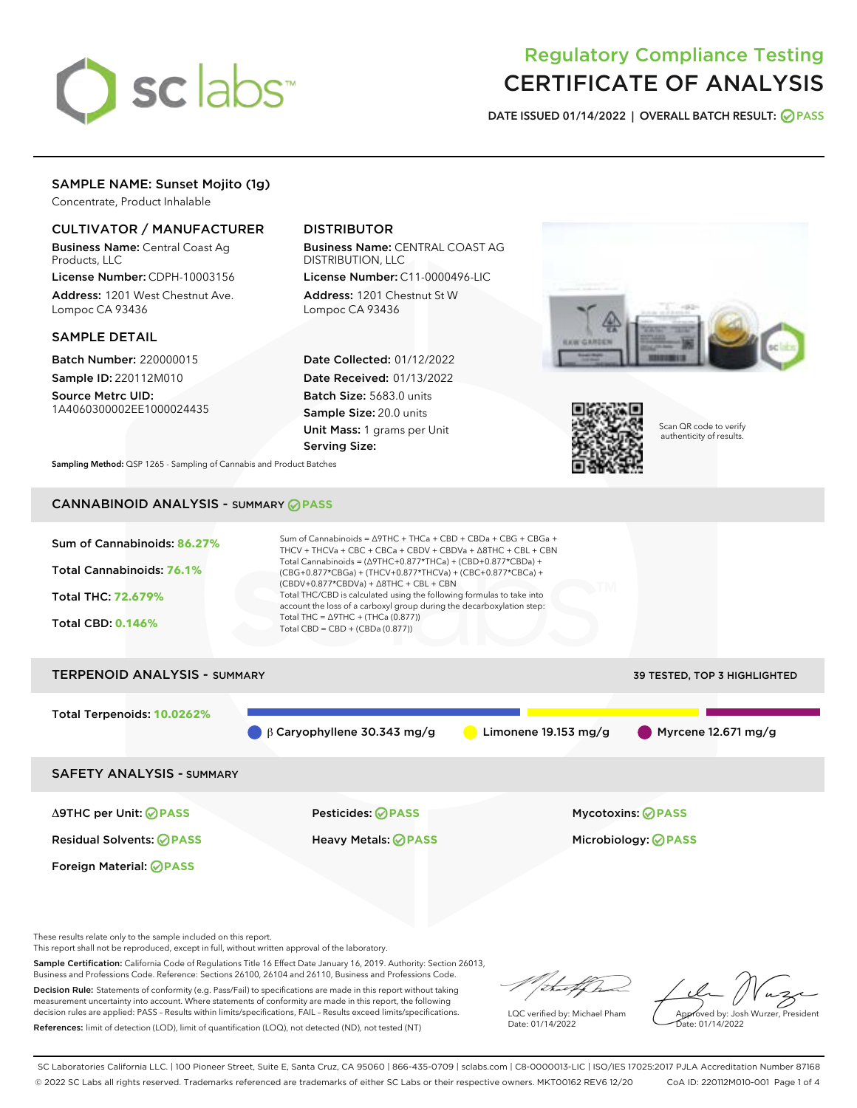

# Regulatory Compliance Testing CERTIFICATE OF ANALYSIS

DATE ISSUED 01/14/2022 | OVERALL BATCH RESULT: @ PASS

# SAMPLE NAME: Sunset Mojito (1g)

Concentrate, Product Inhalable

# CULTIVATOR / MANUFACTURER

Business Name: Central Coast Ag Products, LLC

License Number: CDPH-10003156 Address: 1201 West Chestnut Ave. Lompoc CA 93436

# SAMPLE DETAIL

Batch Number: 220000015 Sample ID: 220112M010

Source Metrc UID: 1A4060300002EE1000024435

# DISTRIBUTOR

Business Name: CENTRAL COAST AG DISTRIBUTION, LLC License Number: C11-0000496-LIC

Address: 1201 Chestnut St W Lompoc CA 93436

Date Collected: 01/12/2022 Date Received: 01/13/2022 Batch Size: 5683.0 units Sample Size: 20.0 units Unit Mass: 1 grams per Unit Serving Size:





Scan QR code to verify authenticity of results.

Sampling Method: QSP 1265 - Sampling of Cannabis and Product Batches

# CANNABINOID ANALYSIS - SUMMARY **PASS**



These results relate only to the sample included on this report.

This report shall not be reproduced, except in full, without written approval of the laboratory.

Sample Certification: California Code of Regulations Title 16 Effect Date January 16, 2019. Authority: Section 26013, Business and Professions Code. Reference: Sections 26100, 26104 and 26110, Business and Professions Code.

Decision Rule: Statements of conformity (e.g. Pass/Fail) to specifications are made in this report without taking measurement uncertainty into account. Where statements of conformity are made in this report, the following decision rules are applied: PASS – Results within limits/specifications, FAIL – Results exceed limits/specifications. References: limit of detection (LOD), limit of quantification (LOQ), not detected (ND), not tested (NT)

LQC verified by: Michael Pham Date: 01/14/2022

Approved by: Josh Wurzer, President ate: 01/14/2022

SC Laboratories California LLC. | 100 Pioneer Street, Suite E, Santa Cruz, CA 95060 | 866-435-0709 | sclabs.com | C8-0000013-LIC | ISO/IES 17025:2017 PJLA Accreditation Number 87168 © 2022 SC Labs all rights reserved. Trademarks referenced are trademarks of either SC Labs or their respective owners. MKT00162 REV6 12/20 CoA ID: 220112M010-001 Page 1 of 4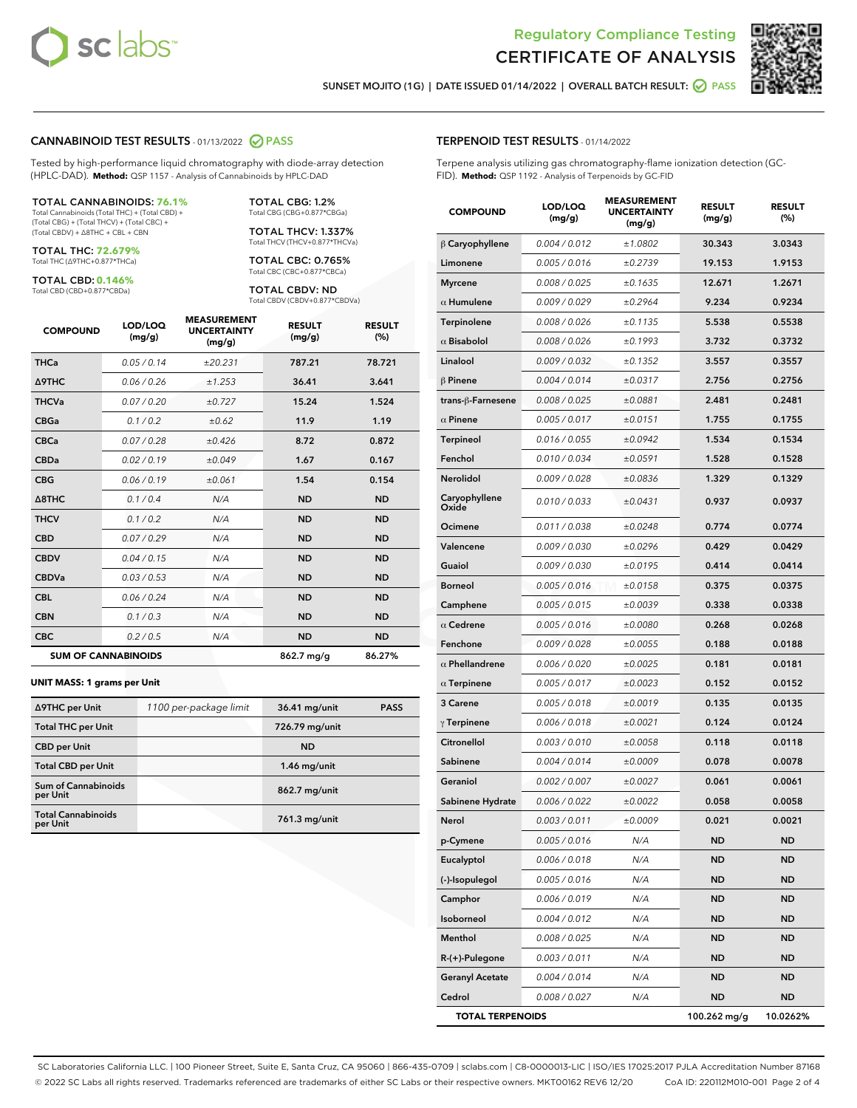



SUNSET MOJITO (1G) | DATE ISSUED 01/14/2022 | OVERALL BATCH RESULT: @ PASS

# CANNABINOID TEST RESULTS - 01/13/2022 2 PASS

Tested by high-performance liquid chromatography with diode-array detection (HPLC-DAD). **Method:** QSP 1157 - Analysis of Cannabinoids by HPLC-DAD

#### TOTAL CANNABINOIDS: **76.1%**

Total Cannabinoids (Total THC) + (Total CBD) + (Total CBG) + (Total THCV) + (Total CBC) + (Total CBDV) + ∆8THC + CBL + CBN

TOTAL THC: **72.679%** Total THC (∆9THC+0.877\*THCa)

TOTAL CBD: **0.146%**

Total CBD (CBD+0.877\*CBDa)

TOTAL CBG: 1.2% Total CBG (CBG+0.877\*CBGa)

TOTAL THCV: 1.337% Total THCV (THCV+0.877\*THCVa)

TOTAL CBC: 0.765% Total CBC (CBC+0.877\*CBCa)

TOTAL CBDV: ND Total CBDV (CBDV+0.877\*CBDVa)

| <b>COMPOUND</b>  | LOD/LOQ<br>(mg/g)          | <b>MEASUREMENT</b><br><b>UNCERTAINTY</b><br>(mg/g) | <b>RESULT</b><br>(mg/g) | <b>RESULT</b><br>(%) |
|------------------|----------------------------|----------------------------------------------------|-------------------------|----------------------|
| <b>THCa</b>      | 0.05/0.14                  | ±20.231                                            | 787.21                  | 78.721               |
| Δ9THC            | 0.06 / 0.26                | ±1.253                                             | 36.41                   | 3.641                |
| <b>THCVa</b>     | 0.07 / 0.20                | ±0.727                                             | 15.24                   | 1.524                |
| <b>CBGa</b>      | 0.1/0.2                    | ±0.62                                              | 11.9                    | 1.19                 |
| <b>CBCa</b>      | 0.07/0.28                  | ±0.426                                             | 8.72                    | 0.872                |
| <b>CBDa</b>      | 0.02/0.19                  | ±0.049                                             | 1.67                    | 0.167                |
| <b>CBG</b>       | 0.06/0.19                  | ±0.061                                             | 1.54                    | 0.154                |
| $\triangle$ 8THC | 0.1/0.4                    | N/A                                                | <b>ND</b>               | <b>ND</b>            |
| <b>THCV</b>      | 0.1 / 0.2                  | N/A                                                | <b>ND</b>               | <b>ND</b>            |
| <b>CBD</b>       | 0.07/0.29                  | N/A                                                | <b>ND</b>               | <b>ND</b>            |
| <b>CBDV</b>      | 0.04 / 0.15                | N/A                                                | <b>ND</b>               | <b>ND</b>            |
| <b>CBDVa</b>     | 0.03 / 0.53                | N/A                                                | <b>ND</b>               | <b>ND</b>            |
| <b>CBL</b>       | 0.06 / 0.24                | N/A                                                | <b>ND</b>               | <b>ND</b>            |
| <b>CBN</b>       | 0.1/0.3                    | N/A                                                | <b>ND</b>               | <b>ND</b>            |
| <b>CBC</b>       | 0.2 / 0.5                  | N/A                                                | <b>ND</b>               | <b>ND</b>            |
|                  | <b>SUM OF CANNABINOIDS</b> |                                                    | 862.7 mg/g              | 86.27%               |

#### **UNIT MASS: 1 grams per Unit**

| ∆9THC per Unit                         | 1100 per-package limit | 36.41 mg/unit  | <b>PASS</b> |
|----------------------------------------|------------------------|----------------|-------------|
| <b>Total THC per Unit</b>              |                        | 726.79 mg/unit |             |
| <b>CBD</b> per Unit                    |                        | <b>ND</b>      |             |
| <b>Total CBD per Unit</b>              |                        | $1.46$ mg/unit |             |
| <b>Sum of Cannabinoids</b><br>per Unit |                        | 862.7 mg/unit  |             |
| <b>Total Cannabinoids</b><br>per Unit  |                        | 761.3 mg/unit  |             |

#### TERPENOID TEST RESULTS - 01/14/2022

Terpene analysis utilizing gas chromatography-flame ionization detection (GC-FID). **Method:** QSP 1192 - Analysis of Terpenoids by GC-FID

| <b>COMPOUND</b>         | LOD/LOQ<br>(mg/g) | <b>MEASUREMENT</b><br><b>UNCERTAINTY</b><br>(mg/g) | <b>RESULT</b><br>(mg/g) | <b>RESULT</b><br>(%) |
|-------------------------|-------------------|----------------------------------------------------|-------------------------|----------------------|
| $\beta$ Caryophyllene   | 0.004 / 0.012     | ±1.0802                                            | 30.343                  | 3.0343               |
| Limonene                | 0.005 / 0.016     | ±0.2739                                            | 19.153                  | 1.9153               |
| <b>Myrcene</b>          | 0.008 / 0.025     | ±0.1635                                            | 12.671                  | 1.2671               |
| $\alpha$ Humulene       | 0.009 / 0.029     | ±0.2964                                            | 9.234                   | 0.9234               |
| Terpinolene             | 0.008 / 0.026     | ±0.1135                                            | 5.538                   | 0.5538               |
| $\alpha$ Bisabolol      | 0.008 / 0.026     | ±0.1993                                            | 3.732                   | 0.3732               |
| Linalool                | 0.009 / 0.032     | ±0.1352                                            | 3.557                   | 0.3557               |
| $\beta$ Pinene          | 0.004 / 0.014     | ±0.0317                                            | 2.756                   | 0.2756               |
| trans-ß-Farnesene       | 0.008 / 0.025     | ±0.0881                                            | 2.481                   | 0.2481               |
| $\alpha$ Pinene         | 0.005 / 0.017     | ±0.0151                                            | 1.755                   | 0.1755               |
| <b>Terpineol</b>        | 0.016 / 0.055     | ±0.0942                                            | 1.534                   | 0.1534               |
| Fenchol                 | 0.010 / 0.034     | ±0.0591                                            | 1.528                   | 0.1528               |
| Nerolidol               | 0.009 / 0.028     | ±0.0836                                            | 1.329                   | 0.1329               |
| Caryophyllene<br>Oxide  | 0.010 / 0.033     | ±0.0431                                            | 0.937                   | 0.0937               |
| Ocimene                 | 0.011 / 0.038     | ±0.0248                                            | 0.774                   | 0.0774               |
| Valencene               | 0.009 / 0.030     | ±0.0296                                            | 0.429                   | 0.0429               |
| Guaiol                  | 0.009 / 0.030     | ±0.0195                                            | 0.414                   | 0.0414               |
| <b>Borneol</b>          | 0.005 / 0.016     | ±0.0158                                            | 0.375                   | 0.0375               |
| Camphene                | 0.005 / 0.015     | ±0.0039                                            | 0.338                   | 0.0338               |
| $\alpha$ Cedrene        | 0.005 / 0.016     | ±0.0080                                            | 0.268                   | 0.0268               |
| Fenchone                | 0.009 / 0.028     | ±0.0055                                            | 0.188                   | 0.0188               |
| $\alpha$ Phellandrene   | 0.006 / 0.020     | ±0.0025                                            | 0.181                   | 0.0181               |
| $\alpha$ Terpinene      | 0.005 / 0.017     | ±0.0023                                            | 0.152                   | 0.0152               |
| 3 Carene                | 0.005 / 0.018     | ±0.0019                                            | 0.135                   | 0.0135               |
| $\gamma$ Terpinene      | 0.006 / 0.018     | ±0.0021                                            | 0.124                   | 0.0124               |
| Citronellol             | 0.003 / 0.010     | ±0.0058                                            | 0.118                   | 0.0118               |
| Sabinene                | 0.004 / 0.014     | ±0.0009                                            | 0.078                   | 0.0078               |
| Geraniol                | 0.002 / 0.007     | ±0.0027                                            | 0.061                   | 0.0061               |
| Sabinene Hydrate        | 0.006 / 0.022     | ±0.0022                                            | 0.058                   | 0.0058               |
| Nerol                   | 0.003 / 0.011     | ±0.0009                                            | 0.021                   | 0.0021               |
| p-Cymene                | 0.005 / 0.016     | N/A                                                | <b>ND</b>               | ND                   |
| Eucalyptol              | 0.006 / 0.018     | N/A                                                | ND                      | ND                   |
| (-)-Isopulegol          | 0.005 / 0.016     | N/A                                                | <b>ND</b>               | ND                   |
| Camphor                 | 0.006 / 0.019     | N/A                                                | <b>ND</b>               | ND                   |
| Isoborneol              | 0.004 / 0.012     | N/A                                                | ND                      | ND                   |
| Menthol                 | 0.008 / 0.025     | N/A                                                | ND                      | ND                   |
| R-(+)-Pulegone          | 0.003 / 0.011     | N/A                                                | <b>ND</b>               | ND                   |
| <b>Geranyl Acetate</b>  | 0.004 / 0.014     | N/A                                                | ND                      | ND                   |
| Cedrol                  | 0.008 / 0.027     | N/A                                                | <b>ND</b>               | <b>ND</b>            |
| <b>TOTAL TERPENOIDS</b> |                   |                                                    | 100.262 mg/g            | 10.0262%             |

SC Laboratories California LLC. | 100 Pioneer Street, Suite E, Santa Cruz, CA 95060 | 866-435-0709 | sclabs.com | C8-0000013-LIC | ISO/IES 17025:2017 PJLA Accreditation Number 87168 © 2022 SC Labs all rights reserved. Trademarks referenced are trademarks of either SC Labs or their respective owners. MKT00162 REV6 12/20 CoA ID: 220112M010-001 Page 2 of 4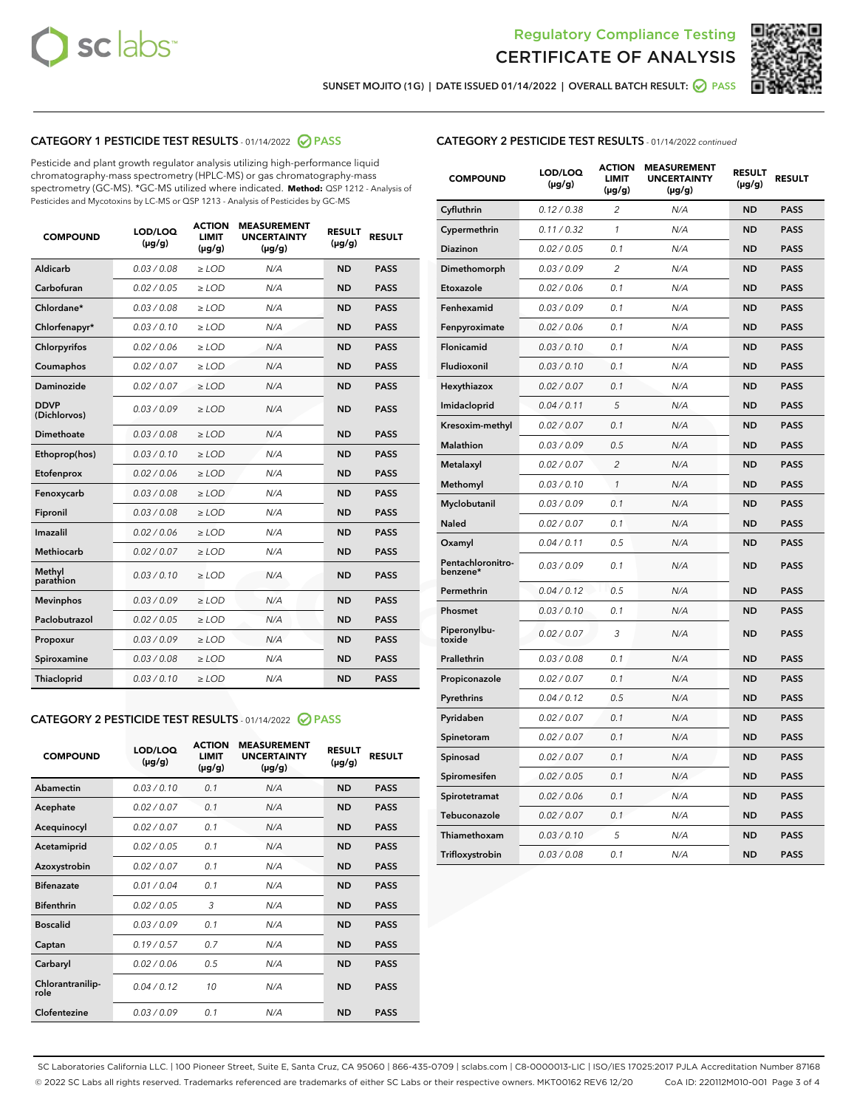



SUNSET MOJITO (1G) | DATE ISSUED 01/14/2022 | OVERALL BATCH RESULT: ● PASS

# CATEGORY 1 PESTICIDE TEST RESULTS - 01/14/2022 2 PASS

Pesticide and plant growth regulator analysis utilizing high-performance liquid chromatography-mass spectrometry (HPLC-MS) or gas chromatography-mass spectrometry (GC-MS). \*GC-MS utilized where indicated. **Method:** QSP 1212 - Analysis of Pesticides and Mycotoxins by LC-MS or QSP 1213 - Analysis of Pesticides by GC-MS

| <b>COMPOUND</b>             | LOD/LOQ<br>$(\mu g/g)$ | <b>ACTION</b><br><b>LIMIT</b><br>$(\mu g/g)$ | <b>MEASUREMENT</b><br><b>UNCERTAINTY</b><br>$(\mu g/g)$ | <b>RESULT</b><br>$(\mu g/g)$ | <b>RESULT</b> |
|-----------------------------|------------------------|----------------------------------------------|---------------------------------------------------------|------------------------------|---------------|
| Aldicarb                    | 0.03 / 0.08            | $\ge$ LOD                                    | N/A                                                     | <b>ND</b>                    | <b>PASS</b>   |
| Carbofuran                  | 0.02 / 0.05            | $\ge$ LOD                                    | N/A                                                     | <b>ND</b>                    | <b>PASS</b>   |
| Chlordane*                  | 0.03/0.08              | $\ge$ LOD                                    | N/A                                                     | <b>ND</b>                    | <b>PASS</b>   |
| Chlorfenapyr*               | 0.03/0.10              | $\ge$ LOD                                    | N/A                                                     | <b>ND</b>                    | <b>PASS</b>   |
| Chlorpyrifos                | 0.02 / 0.06            | $\ge$ LOD                                    | N/A                                                     | <b>ND</b>                    | <b>PASS</b>   |
| Coumaphos                   | 0.02 / 0.07            | $\ge$ LOD                                    | N/A                                                     | <b>ND</b>                    | <b>PASS</b>   |
| Daminozide                  | 0.02 / 0.07            | $\ge$ LOD                                    | N/A                                                     | <b>ND</b>                    | <b>PASS</b>   |
| <b>DDVP</b><br>(Dichlorvos) | 0.03/0.09              | $\ge$ LOD                                    | N/A                                                     | <b>ND</b>                    | <b>PASS</b>   |
| Dimethoate                  | 0.03 / 0.08            | $\ge$ LOD                                    | N/A                                                     | <b>ND</b>                    | <b>PASS</b>   |
| Ethoprop(hos)               | 0.03/0.10              | $\ge$ LOD                                    | N/A                                                     | <b>ND</b>                    | <b>PASS</b>   |
| Etofenprox                  | 0.02/0.06              | $>$ LOD                                      | N/A                                                     | <b>ND</b>                    | <b>PASS</b>   |
| Fenoxycarb                  | 0.03 / 0.08            | $>$ LOD                                      | N/A                                                     | <b>ND</b>                    | <b>PASS</b>   |
| Fipronil                    | 0.03 / 0.08            | $>$ LOD                                      | N/A                                                     | <b>ND</b>                    | <b>PASS</b>   |
| Imazalil                    | 0.02 / 0.06            | $>$ LOD                                      | N/A                                                     | <b>ND</b>                    | <b>PASS</b>   |
| <b>Methiocarb</b>           | 0.02 / 0.07            | $\ge$ LOD                                    | N/A                                                     | <b>ND</b>                    | <b>PASS</b>   |
| Methyl<br>parathion         | 0.03/0.10              | $\ge$ LOD                                    | N/A                                                     | <b>ND</b>                    | <b>PASS</b>   |
| <b>Mevinphos</b>            | 0.03/0.09              | $\ge$ LOD                                    | N/A                                                     | <b>ND</b>                    | <b>PASS</b>   |
| Paclobutrazol               | 0.02 / 0.05            | $\ge$ LOD                                    | N/A                                                     | <b>ND</b>                    | <b>PASS</b>   |
| Propoxur                    | 0.03/0.09              | $\ge$ LOD                                    | N/A                                                     | <b>ND</b>                    | <b>PASS</b>   |
| Spiroxamine                 | 0.03 / 0.08            | $\ge$ LOD                                    | N/A                                                     | <b>ND</b>                    | <b>PASS</b>   |
| Thiacloprid                 | 0.03/0.10              | $\ge$ LOD                                    | N/A                                                     | <b>ND</b>                    | <b>PASS</b>   |

## CATEGORY 2 PESTICIDE TEST RESULTS - 01/14/2022 2 PASS

| <b>COMPOUND</b>          | LOD/LOO<br>$(\mu g/g)$ | <b>ACTION</b><br>LIMIT<br>$(\mu g/g)$ | <b>MEASUREMENT</b><br><b>UNCERTAINTY</b><br>$(\mu g/g)$ | <b>RESULT</b><br>$(\mu g/g)$ | <b>RESULT</b> |
|--------------------------|------------------------|---------------------------------------|---------------------------------------------------------|------------------------------|---------------|
| Abamectin                | 0.03/0.10              | 0.1                                   | N/A                                                     | <b>ND</b>                    | <b>PASS</b>   |
| Acephate                 | 0.02/0.07              | 0.1                                   | N/A                                                     | <b>ND</b>                    | <b>PASS</b>   |
| Acequinocyl              | 0.02/0.07              | 0.1                                   | N/A                                                     | <b>ND</b>                    | <b>PASS</b>   |
| Acetamiprid              | 0.02 / 0.05            | 0.1                                   | N/A                                                     | <b>ND</b>                    | <b>PASS</b>   |
| Azoxystrobin             | 0.02/0.07              | 0.1                                   | N/A                                                     | <b>ND</b>                    | <b>PASS</b>   |
| <b>Bifenazate</b>        | 0.01 / 0.04            | 0.1                                   | N/A                                                     | <b>ND</b>                    | <b>PASS</b>   |
| <b>Bifenthrin</b>        | 0.02 / 0.05            | 3                                     | N/A                                                     | <b>ND</b>                    | <b>PASS</b>   |
| <b>Boscalid</b>          | 0.03/0.09              | 0.1                                   | N/A                                                     | <b>ND</b>                    | <b>PASS</b>   |
| Captan                   | 0.19/0.57              | 0.7                                   | N/A                                                     | <b>ND</b>                    | <b>PASS</b>   |
| Carbaryl                 | 0.02/0.06              | 0.5                                   | N/A                                                     | <b>ND</b>                    | <b>PASS</b>   |
| Chlorantranilip-<br>role | 0.04/0.12              | 10                                    | N/A                                                     | <b>ND</b>                    | <b>PASS</b>   |
| Clofentezine             | 0.03/0.09              | 0.1                                   | N/A                                                     | <b>ND</b>                    | <b>PASS</b>   |

# CATEGORY 2 PESTICIDE TEST RESULTS - 01/14/2022 continued

| <b>COMPOUND</b>               | LOD/LOQ<br>(µg/g) | <b>ACTION</b><br><b>LIMIT</b><br>$(\mu g/g)$ | <b>MEASUREMENT</b><br><b>UNCERTAINTY</b><br>$(\mu g/g)$ | <b>RESULT</b><br>(µg/g) | <b>RESULT</b> |
|-------------------------------|-------------------|----------------------------------------------|---------------------------------------------------------|-------------------------|---------------|
| Cyfluthrin                    | 0.12 / 0.38       | $\overline{c}$                               | N/A                                                     | <b>ND</b>               | <b>PASS</b>   |
| Cypermethrin                  | 0.11 / 0.32       | $\mathcal{I}$                                | N/A                                                     | ND                      | <b>PASS</b>   |
| <b>Diazinon</b>               | 0.02 / 0.05       | 0.1                                          | N/A                                                     | <b>ND</b>               | <b>PASS</b>   |
| Dimethomorph                  | 0.03 / 0.09       | 2                                            | N/A                                                     | ND                      | <b>PASS</b>   |
| Etoxazole                     | 0.02 / 0.06       | 0.1                                          | N/A                                                     | ND                      | <b>PASS</b>   |
| Fenhexamid                    | 0.03 / 0.09       | 0.1                                          | N/A                                                     | ND                      | <b>PASS</b>   |
| Fenpyroximate                 | 0.02 / 0.06       | 0.1                                          | N/A                                                     | <b>ND</b>               | <b>PASS</b>   |
| Flonicamid                    | 0.03 / 0.10       | 0.1                                          | N/A                                                     | ND                      | <b>PASS</b>   |
| Fludioxonil                   | 0.03 / 0.10       | 0.1                                          | N/A                                                     | ND                      | <b>PASS</b>   |
| Hexythiazox                   | 0.02 / 0.07       | 0.1                                          | N/A                                                     | <b>ND</b>               | <b>PASS</b>   |
| Imidacloprid                  | 0.04 / 0.11       | 5                                            | N/A                                                     | <b>ND</b>               | <b>PASS</b>   |
| Kresoxim-methyl               | 0.02 / 0.07       | 0.1                                          | N/A                                                     | ND                      | <b>PASS</b>   |
| Malathion                     | 0.03 / 0.09       | 0.5                                          | N/A                                                     | <b>ND</b>               | <b>PASS</b>   |
| Metalaxyl                     | 0.02 / 0.07       | $\overline{c}$                               | N/A                                                     | <b>ND</b>               | <b>PASS</b>   |
| Methomyl                      | 0.03 / 0.10       | 1                                            | N/A                                                     | ND                      | <b>PASS</b>   |
| Myclobutanil                  | 0.03 / 0.09       | 0.1                                          | N/A                                                     | <b>ND</b>               | <b>PASS</b>   |
| Naled                         | 0.02 / 0.07       | 0.1                                          | N/A                                                     | <b>ND</b>               | <b>PASS</b>   |
| Oxamyl                        | 0.04 / 0.11       | 0.5                                          | N/A                                                     | ND                      | <b>PASS</b>   |
| Pentachloronitro-<br>benzene* | 0.03 / 0.09       | 0.1                                          | N/A                                                     | <b>ND</b>               | <b>PASS</b>   |
| Permethrin                    | 0.04 / 0.12       | 0.5                                          | N/A                                                     | ND                      | <b>PASS</b>   |
| Phosmet                       | 0.03 / 0.10       | 0.1                                          | N/A                                                     | ND                      | <b>PASS</b>   |
| Piperonylbu-<br>toxide        | 0.02 / 0.07       | 3                                            | N/A                                                     | <b>ND</b>               | <b>PASS</b>   |
| Prallethrin                   | 0.03 / 0.08       | 0.1                                          | N/A                                                     | ND                      | <b>PASS</b>   |
| Propiconazole                 | 0.02 / 0.07       | 0.1                                          | N/A                                                     | ND                      | <b>PASS</b>   |
| Pyrethrins                    | 0.04 / 0.12       | 0.5                                          | N/A                                                     | ND                      | <b>PASS</b>   |
| Pyridaben                     | 0.02 / 0.07       | 0.1                                          | N/A                                                     | <b>ND</b>               | <b>PASS</b>   |
| Spinetoram                    | 0.02 / 0.07       | 0.1                                          | N/A                                                     | <b>ND</b>               | <b>PASS</b>   |
| Spinosad                      | 0.02 / 0.07       | 0.1                                          | N/A                                                     | ND                      | <b>PASS</b>   |
| Spiromesifen                  | 0.02 / 0.05       | 0.1                                          | N/A                                                     | <b>ND</b>               | <b>PASS</b>   |
| Spirotetramat                 | 0.02 / 0.06       | 0.1                                          | N/A                                                     | <b>ND</b>               | <b>PASS</b>   |
| Tebuconazole                  | 0.02 / 0.07       | 0.1                                          | N/A                                                     | ND                      | <b>PASS</b>   |
| Thiamethoxam                  | 0.03 / 0.10       | 5                                            | N/A                                                     | <b>ND</b>               | <b>PASS</b>   |
| Trifloxystrobin               | 0.03 / 0.08       | 0.1                                          | N/A                                                     | <b>ND</b>               | <b>PASS</b>   |

SC Laboratories California LLC. | 100 Pioneer Street, Suite E, Santa Cruz, CA 95060 | 866-435-0709 | sclabs.com | C8-0000013-LIC | ISO/IES 17025:2017 PJLA Accreditation Number 87168 © 2022 SC Labs all rights reserved. Trademarks referenced are trademarks of either SC Labs or their respective owners. MKT00162 REV6 12/20 CoA ID: 220112M010-001 Page 3 of 4